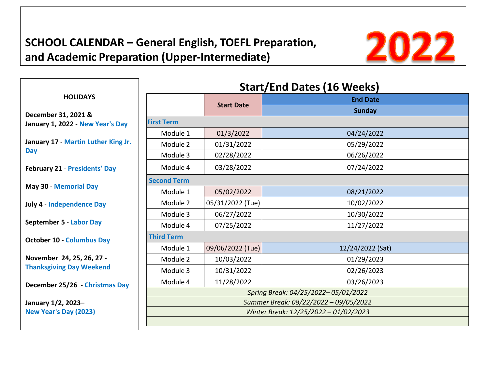# **SCHOOL CALENDAR – General English, TOEFL Preparation, and Academic Preparation (Upper-Intermediate)**



|                                                              | <b>Start/End Dates (16 Weeks)</b>     |                   |                  |  |
|--------------------------------------------------------------|---------------------------------------|-------------------|------------------|--|
| <b>HOLIDAYS</b>                                              |                                       | <b>Start Date</b> | <b>End Date</b>  |  |
| December 31, 2021 &                                          |                                       |                   | <b>Sunday</b>    |  |
| January 1, 2022 - New Year's Day                             | <b>First Term</b>                     |                   |                  |  |
| January 17 - Martin Luther King Jr.<br><b>Day</b>            | Module 1                              | 01/3/2022         | 04/24/2022       |  |
|                                                              | Module 2                              | 01/31/2022        | 05/29/2022       |  |
|                                                              | Module 3                              | 02/28/2022        | 06/26/2022       |  |
| <b>February 21 - Presidents' Day</b>                         | Module 4                              | 03/28/2022        | 07/24/2022       |  |
| <b>May 30 - Memorial Day</b>                                 | <b>Second Term</b>                    |                   |                  |  |
|                                                              | Module 1                              | 05/02/2022        | 08/21/2022       |  |
| <b>July 4 - Independence Day</b>                             | Module 2                              | 05/31/2022 (Tue)  | 10/02/2022       |  |
| September 5 - Labor Day                                      | Module 3                              | 06/27/2022        | 10/30/2022       |  |
|                                                              | Module 4                              | 07/25/2022        | 11/27/2022       |  |
| <b>October 10 - Columbus Day</b>                             | <b>Third Term</b>                     |                   |                  |  |
|                                                              | Module 1                              | 09/06/2022 (Tue)  | 12/24/2022 (Sat) |  |
| November 24, 25, 26, 27 -<br><b>Thanksgiving Day Weekend</b> | Module 2                              | 10/03/2022        | 01/29/2023       |  |
|                                                              | Module 3                              | 10/31/2022        | 02/26/2023       |  |
| December 25/26 - Christmas Day                               | Module 4                              | 11/28/2022        | 03/26/2023       |  |
|                                                              | Spring Break: 04/25/2022-05/01/2022   |                   |                  |  |
| January 1/2, 2023-                                           | Summer Break: 08/22/2022 - 09/05/2022 |                   |                  |  |
| New Year's Day (2023)                                        | Winter Break: 12/25/2022 - 01/02/2023 |                   |                  |  |
|                                                              |                                       |                   |                  |  |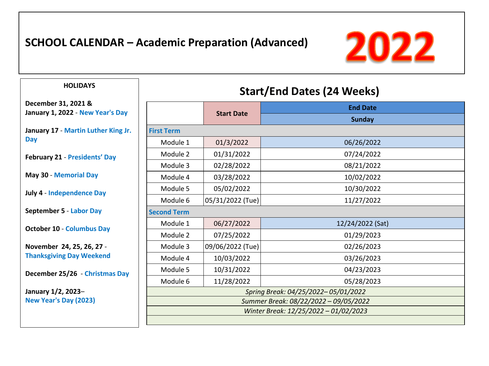### **SCHOOL CALENDAR – Academic Preparation (Advanced)**



### **HOLIDAYS**

**December 31, 2021 & January 1, 2022** - **New Year's Day**

**January 17** - **Martin Luther King Jr. Day**

**February 21** - **Presidents' Day** 

**May 30** - **Memorial Day**

**July 4** - **Independence Day**

**September 5** - **Labor Day**

**October 10** - **Columbus Day**

**November 24, 25, 26, 27** - **Thanksgiving Day Weekend**

**December 25/26** - **Christmas Day**

**January 1/2, 2023**– **New Year's Day (2023)**

## **Start/End Dates (24 Weeks)**

|                                       |                   | <b>End Date</b>  |  |  |
|---------------------------------------|-------------------|------------------|--|--|
|                                       | <b>Start Date</b> | <b>Sunday</b>    |  |  |
| <b>First Term</b>                     |                   |                  |  |  |
| Module 1                              | 01/3/2022         | 06/26/2022       |  |  |
| Module 2                              | 01/31/2022        | 07/24/2022       |  |  |
| Module 3                              | 02/28/2022        | 08/21/2022       |  |  |
| Module 4                              | 03/28/2022        | 10/02/2022       |  |  |
| Module 5                              | 05/02/2022        | 10/30/2022       |  |  |
| Module 6                              | 05/31/2022 (Tue)  | 11/27/2022       |  |  |
| <b>Second Term</b>                    |                   |                  |  |  |
| Module 1                              | 06/27/2022        | 12/24/2022 (Sat) |  |  |
| Module 2                              | 07/25/2022        | 01/29/2023       |  |  |
| Module 3                              | 09/06/2022 (Tue)  | 02/26/2023       |  |  |
| Module 4                              | 10/03/2022        | 03/26/2023       |  |  |
| Module 5                              | 10/31/2022        | 04/23/2023       |  |  |
| Module 6                              | 11/28/2022        | 05/28/2023       |  |  |
| Spring Break: 04/25/2022-05/01/2022   |                   |                  |  |  |
| Summer Break: 08/22/2022 - 09/05/2022 |                   |                  |  |  |
| Winter Break: 12/25/2022 - 01/02/2023 |                   |                  |  |  |
|                                       |                   |                  |  |  |